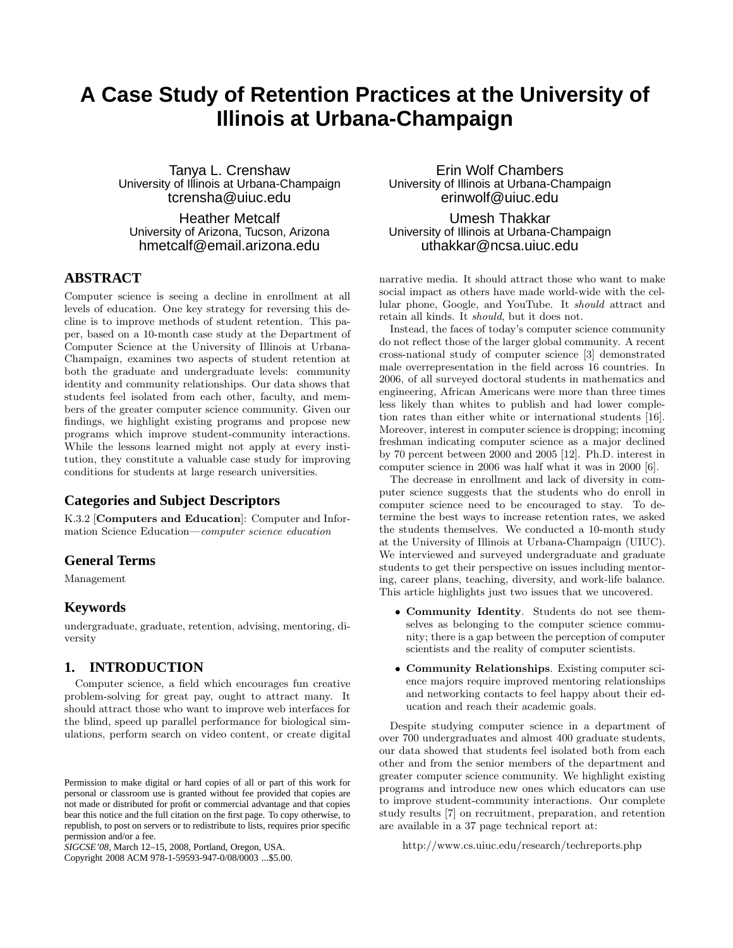# **A Case Study of Retention Practices at the University of Illinois at Urbana-Champaign**

Tanya L. Crenshaw University of Illinois at Urbana-Champaign tcrensha@uiuc.edu

Heather Metcalf University of Arizona, Tucson, Arizona hmetcalf@email.arizona.edu

# **ABSTRACT**

Computer science is seeing a decline in enrollment at all levels of education. One key strategy for reversing this decline is to improve methods of student retention. This paper, based on a 10-month case study at the Department of Computer Science at the University of Illinois at Urbana-Champaign, examines two aspects of student retention at both the graduate and undergraduate levels: community identity and community relationships. Our data shows that students feel isolated from each other, faculty, and members of the greater computer science community. Given our findings, we highlight existing programs and propose new programs which improve student-community interactions. While the lessons learned might not apply at every institution, they constitute a valuable case study for improving conditions for students at large research universities.

#### **Categories and Subject Descriptors**

K.3.2 [Computers and Education]: Computer and Information Science Education—computer science education

### **General Terms**

Management

#### **Keywords**

undergraduate, graduate, retention, advising, mentoring, diversity

#### **1. INTRODUCTION**

Computer science, a field which encourages fun creative problem-solving for great pay, ought to attract many. It should attract those who want to improve web interfaces for the blind, speed up parallel performance for biological simulations, perform search on video content, or create digital

Copyright 2008 ACM 978-1-59593-947-0/08/0003 ...\$5.00.

Erin Wolf Chambers University of Illinois at Urbana-Champaign erinwolf@uiuc.edu

Umesh Thakkar University of Illinois at Urbana-Champaign uthakkar@ncsa.uiuc.edu

narrative media. It should attract those who want to make social impact as others have made world-wide with the cellular phone, Google, and YouTube. It should attract and retain all kinds. It should, but it does not.

Instead, the faces of today's computer science community do not reflect those of the larger global community. A recent cross-national study of computer science [3] demonstrated male overrepresentation in the field across 16 countries. In 2006, of all surveyed doctoral students in mathematics and engineering, African Americans were more than three times less likely than whites to publish and had lower completion rates than either white or international students [16]. Moreover, interest in computer science is dropping; incoming freshman indicating computer science as a major declined by 70 percent between 2000 and 2005 [12]. Ph.D. interest in computer science in 2006 was half what it was in 2000 [6].

The decrease in enrollment and lack of diversity in computer science suggests that the students who do enroll in computer science need to be encouraged to stay. To determine the best ways to increase retention rates, we asked the students themselves. We conducted a 10-month study at the University of Illinois at Urbana-Champaign (UIUC). We interviewed and surveyed undergraduate and graduate students to get their perspective on issues including mentoring, career plans, teaching, diversity, and work-life balance. This article highlights just two issues that we uncovered.

- Community Identity. Students do not see themselves as belonging to the computer science community; there is a gap between the perception of computer scientists and the reality of computer scientists.
- Community Relationships. Existing computer science majors require improved mentoring relationships and networking contacts to feel happy about their education and reach their academic goals.

Despite studying computer science in a department of over 700 undergraduates and almost 400 graduate students, our data showed that students feel isolated both from each other and from the senior members of the department and greater computer science community. We highlight existing programs and introduce new ones which educators can use to improve student-community interactions. Our complete study results [7] on recruitment, preparation, and retention are available in a 37 page technical report at:

http://www.cs.uiuc.edu/research/techreports.php

Permission to make digital or hard copies of all or part of this work for personal or classroom use is granted without fee provided that copies are not made or distributed for profit or commercial advantage and that copies bear this notice and the full citation on the first page. To copy otherwise, to republish, to post on servers or to redistribute to lists, requires prior specific permission and/or a fee.

*SIGCSE'08,* March 12–15, 2008, Portland, Oregon, USA.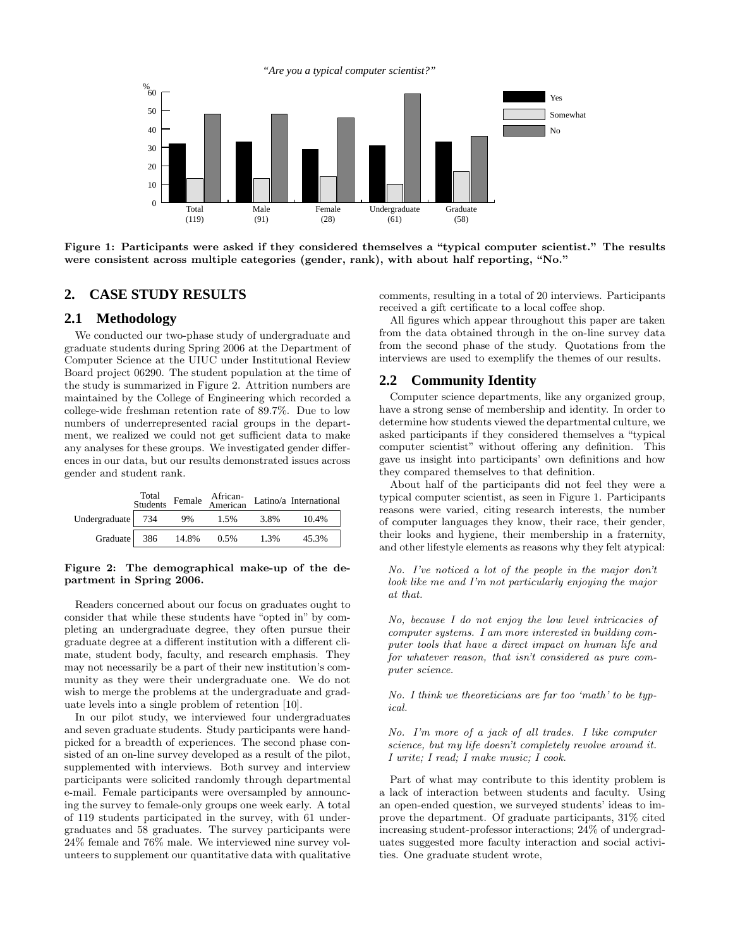*"Are you a typical computer scientist?"*



Figure 1: Participants were asked if they considered themselves a "typical computer scientist." The results were consistent across multiple categories (gender, rank), with about half reporting, "No."

#### **2. CASE STUDY RESULTS**

#### **2.1 Methodology**

We conducted our two-phase study of undergraduate and graduate students during Spring 2006 at the Department of Computer Science at the UIUC under Institutional Review Board project 06290. The student population at the time of the study is summarized in Figure 2. Attrition numbers are maintained by the College of Engineering which recorded a college-wide freshman retention rate of 89.7%. Due to low numbers of underrepresented racial groups in the department, we realized we could not get sufficient data to make any analyses for these groups. We investigated gender differences in our data, but our results demonstrated issues across gender and student rank.

|                   | Total<br>Students |       |      |      | Female African-<br>American Latino/a International |
|-------------------|-------------------|-------|------|------|----------------------------------------------------|
| Undergraduate 734 |                   | - 9%  | 1.5% | 3.8% | 10.4%                                              |
| Graduate          | - 386             | 14.8% | 0.5% | 1.3% | 45.3%                                              |

#### Figure 2: The demographical make-up of the department in Spring 2006.

Readers concerned about our focus on graduates ought to consider that while these students have "opted in" by completing an undergraduate degree, they often pursue their graduate degree at a different institution with a different climate, student body, faculty, and research emphasis. They may not necessarily be a part of their new institution's community as they were their undergraduate one. We do not wish to merge the problems at the undergraduate and graduate levels into a single problem of retention [10].

In our pilot study, we interviewed four undergraduates and seven graduate students. Study participants were handpicked for a breadth of experiences. The second phase consisted of an on-line survey developed as a result of the pilot, supplemented with interviews. Both survey and interview participants were solicited randomly through departmental e-mail. Female participants were oversampled by announcing the survey to female-only groups one week early. A total of 119 students participated in the survey, with 61 undergraduates and 58 graduates. The survey participants were 24% female and 76% male. We interviewed nine survey volunteers to supplement our quantitative data with qualitative comments, resulting in a total of 20 interviews. Participants received a gift certificate to a local coffee shop.

All figures which appear throughout this paper are taken from the data obtained through in the on-line survey data from the second phase of the study. Quotations from the interviews are used to exemplify the themes of our results.

#### **2.2 Community Identity**

Computer science departments, like any organized group, have a strong sense of membership and identity. In order to determine how students viewed the departmental culture, we asked participants if they considered themselves a "typical computer scientist" without offering any definition. This gave us insight into participants' own definitions and how they compared themselves to that definition.

About half of the participants did not feel they were a typical computer scientist, as seen in Figure 1. Participants reasons were varied, citing research interests, the number of computer languages they know, their race, their gender, their looks and hygiene, their membership in a fraternity, and other lifestyle elements as reasons why they felt atypical:

No. I've noticed a lot of the people in the major don't look like me and I'm not particularly enjoying the major at that.

No, because I do not enjoy the low level intricacies of computer systems. I am more interested in building computer tools that have a direct impact on human life and for whatever reason, that isn't considered as pure computer science.

No. I think we theoreticians are far too 'math' to be typical.

No. I'm more of a jack of all trades. I like computer science, but my life doesn't completely revolve around it. I write; I read; I make music; I cook.

Part of what may contribute to this identity problem is a lack of interaction between students and faculty. Using an open-ended question, we surveyed students' ideas to improve the department. Of graduate participants, 31% cited increasing student-professor interactions; 24% of undergraduates suggested more faculty interaction and social activities. One graduate student wrote,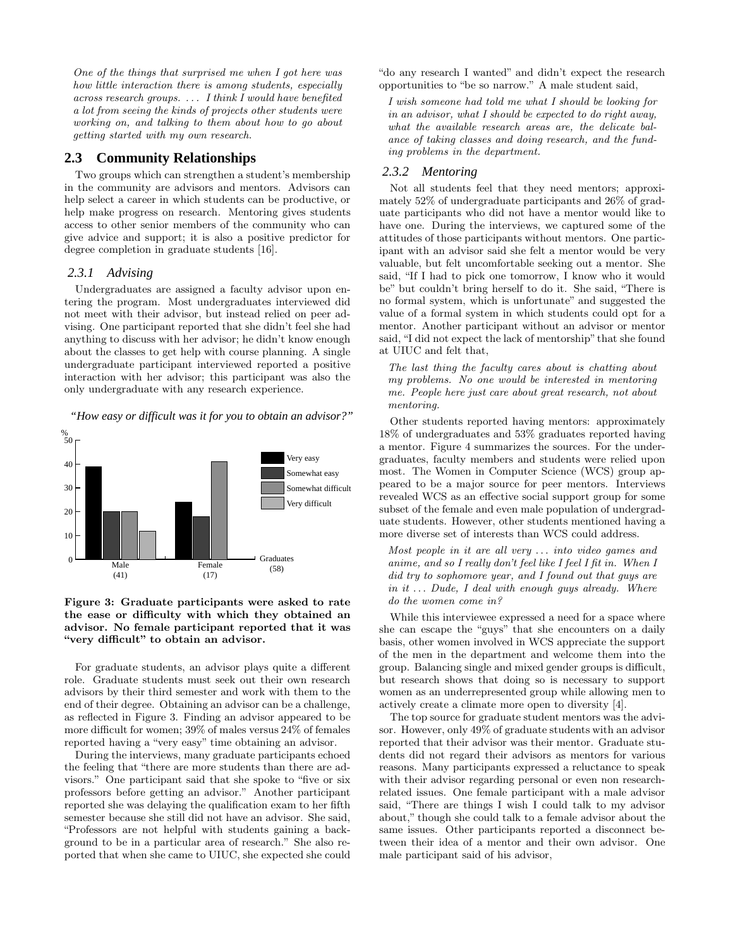One of the things that surprised me when I got here was how little interaction there is among students, especially across research groups. . . . I think I would have benefited a lot from seeing the kinds of projects other students were working on, and talking to them about how to go about getting started with my own research.

#### **2.3 Community Relationships**

Two groups which can strengthen a student's membership in the community are advisors and mentors. Advisors can help select a career in which students can be productive, or help make progress on research. Mentoring gives students access to other senior members of the community who can give advice and support; it is also a positive predictor for degree completion in graduate students [16].

#### *2.3.1 Advising*

Undergraduates are assigned a faculty advisor upon entering the program. Most undergraduates interviewed did not meet with their advisor, but instead relied on peer advising. One participant reported that she didn't feel she had anything to discuss with her advisor; he didn't know enough about the classes to get help with course planning. A single undergraduate participant interviewed reported a positive interaction with her advisor; this participant was also the only undergraduate with any research experience.

*"How easy or difficult was it for you to obtain an advisor?"*



Figure 3: Graduate participants were asked to rate the ease or difficulty with which they obtained an advisor. No female participant reported that it was "very difficult" to obtain an advisor.

For graduate students, an advisor plays quite a different role. Graduate students must seek out their own research advisors by their third semester and work with them to the end of their degree. Obtaining an advisor can be a challenge, as reflected in Figure 3. Finding an advisor appeared to be more difficult for women; 39% of males versus 24% of females reported having a "very easy" time obtaining an advisor.

During the interviews, many graduate participants echoed the feeling that "there are more students than there are advisors." One participant said that she spoke to "five or six professors before getting an advisor." Another participant reported she was delaying the qualification exam to her fifth semester because she still did not have an advisor. She said, "Professors are not helpful with students gaining a background to be in a particular area of research." She also reported that when she came to UIUC, she expected she could "do any research I wanted" and didn't expect the research opportunities to "be so narrow." A male student said,

I wish someone had told me what I should be looking for in an advisor, what I should be expected to do right away, what the available research areas are, the delicate balance of taking classes and doing research, and the funding problems in the department.

## *2.3.2 Mentoring*

Not all students feel that they need mentors; approximately 52% of undergraduate participants and 26% of graduate participants who did not have a mentor would like to have one. During the interviews, we captured some of the attitudes of those participants without mentors. One participant with an advisor said she felt a mentor would be very valuable, but felt uncomfortable seeking out a mentor. She said, "If I had to pick one tomorrow, I know who it would be" but couldn't bring herself to do it. She said, "There is no formal system, which is unfortunate" and suggested the value of a formal system in which students could opt for a mentor. Another participant without an advisor or mentor said, "I did not expect the lack of mentorship" that she found at UIUC and felt that,

The last thing the faculty cares about is chatting about my problems. No one would be interested in mentoring me. People here just care about great research, not about mentoring.

Other students reported having mentors: approximately 18% of undergraduates and 53% graduates reported having a mentor. Figure 4 summarizes the sources. For the undergraduates, faculty members and students were relied upon most. The Women in Computer Science (WCS) group appeared to be a major source for peer mentors. Interviews revealed WCS as an effective social support group for some subset of the female and even male population of undergraduate students. However, other students mentioned having a more diverse set of interests than WCS could address.

Most people in it are all very ... into video games and anime, and so I really don't feel like I feel I fit in. When I did try to sophomore year, and I found out that guys are in it  $\ldots$  Dude, I deal with enough guys already. Where do the women come in?

While this interviewee expressed a need for a space where she can escape the "guys" that she encounters on a daily basis, other women involved in WCS appreciate the support of the men in the department and welcome them into the group. Balancing single and mixed gender groups is difficult, but research shows that doing so is necessary to support women as an underrepresented group while allowing men to actively create a climate more open to diversity [4].

The top source for graduate student mentors was the advisor. However, only 49% of graduate students with an advisor reported that their advisor was their mentor. Graduate students did not regard their advisors as mentors for various reasons. Many participants expressed a reluctance to speak with their advisor regarding personal or even non researchrelated issues. One female participant with a male advisor said, "There are things I wish I could talk to my advisor about," though she could talk to a female advisor about the same issues. Other participants reported a disconnect between their idea of a mentor and their own advisor. One male participant said of his advisor,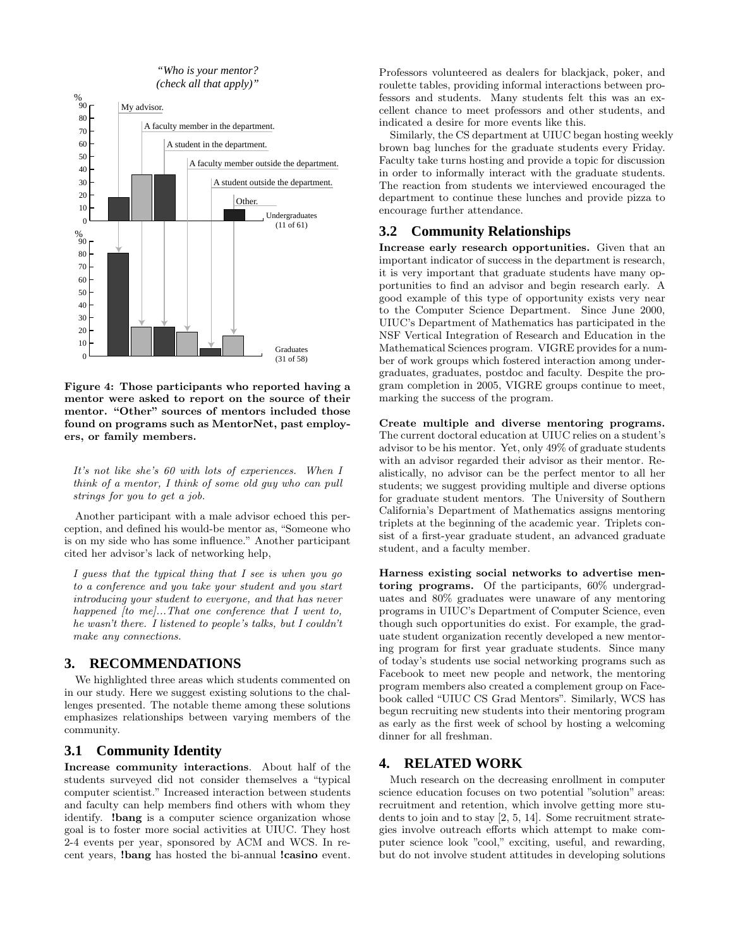*"Who is your mentor? (check all that apply)"*



Figure 4: Those participants who reported having a mentor were asked to report on the source of their mentor. "Other" sources of mentors included those found on programs such as MentorNet, past employers, or family members.

It's not like she's 60 with lots of experiences. When I think of a mentor, I think of some old guy who can pull strings for you to get a job.

Another participant with a male advisor echoed this perception, and defined his would-be mentor as, "Someone who is on my side who has some influence." Another participant cited her advisor's lack of networking help,

I guess that the typical thing that I see is when you go to a conference and you take your student and you start introducing your student to everyone, and that has never happened  $[to me]... That one conference that I went to,$ he wasn't there. I listened to people's talks, but I couldn't make any connections.

#### **3. RECOMMENDATIONS**

We highlighted three areas which students commented on in our study. Here we suggest existing solutions to the challenges presented. The notable theme among these solutions emphasizes relationships between varying members of the community.

# **3.1 Community Identity**

Increase community interactions. About half of the students surveyed did not consider themselves a "typical computer scientist." Increased interaction between students and faculty can help members find others with whom they identify. !bang is a computer science organization whose goal is to foster more social activities at UIUC. They host 2-4 events per year, sponsored by ACM and WCS. In recent years, !bang has hosted the bi-annual !casino event.

Professors volunteered as dealers for blackjack, poker, and roulette tables, providing informal interactions between professors and students. Many students felt this was an excellent chance to meet professors and other students, and indicated a desire for more events like this.

Similarly, the CS department at UIUC began hosting weekly brown bag lunches for the graduate students every Friday. Faculty take turns hosting and provide a topic for discussion in order to informally interact with the graduate students. The reaction from students we interviewed encouraged the department to continue these lunches and provide pizza to encourage further attendance.

#### **3.2 Community Relationships**

Increase early research opportunities. Given that an important indicator of success in the department is research, it is very important that graduate students have many opportunities to find an advisor and begin research early. A good example of this type of opportunity exists very near to the Computer Science Department. Since June 2000, UIUC's Department of Mathematics has participated in the NSF Vertical Integration of Research and Education in the Mathematical Sciences program. VIGRE provides for a number of work groups which fostered interaction among undergraduates, graduates, postdoc and faculty. Despite the program completion in 2005, VIGRE groups continue to meet, marking the success of the program.

Create multiple and diverse mentoring programs. The current doctoral education at UIUC relies on a student's advisor to be his mentor. Yet, only 49% of graduate students with an advisor regarded their advisor as their mentor. Realistically, no advisor can be the perfect mentor to all her students; we suggest providing multiple and diverse options for graduate student mentors. The University of Southern California's Department of Mathematics assigns mentoring triplets at the beginning of the academic year. Triplets consist of a first-year graduate student, an advanced graduate student, and a faculty member.

Harness existing social networks to advertise mentoring programs. Of the participants, 60% undergraduates and 80% graduates were unaware of any mentoring programs in UIUC's Department of Computer Science, even though such opportunities do exist. For example, the graduate student organization recently developed a new mentoring program for first year graduate students. Since many of today's students use social networking programs such as Facebook to meet new people and network, the mentoring program members also created a complement group on Facebook called "UIUC CS Grad Mentors". Similarly, WCS has begun recruiting new students into their mentoring program as early as the first week of school by hosting a welcoming dinner for all freshman.

#### **4. RELATED WORK**

Much research on the decreasing enrollment in computer science education focuses on two potential "solution" areas: recruitment and retention, which involve getting more students to join and to stay [2, 5, 14]. Some recruitment strategies involve outreach efforts which attempt to make computer science look "cool," exciting, useful, and rewarding, but do not involve student attitudes in developing solutions